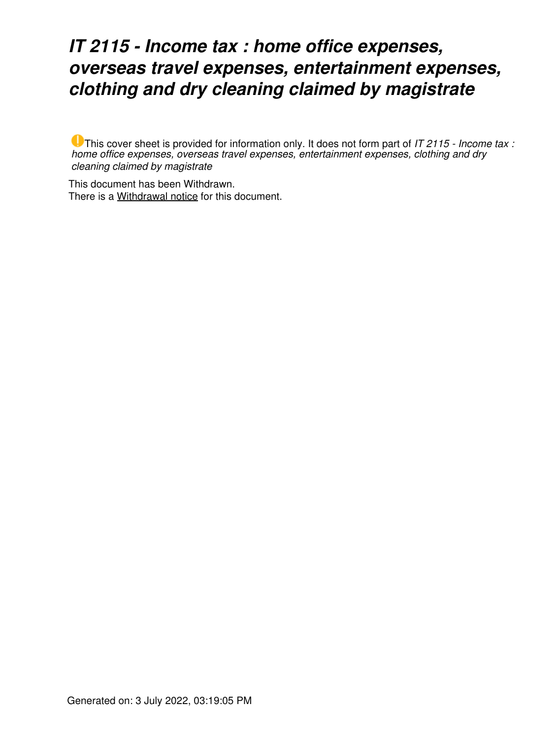## *IT 2115 - Income tax : home office expenses, overseas travel expenses, entertainment expenses, clothing and dry cleaning claimed by magistrate*

This cover sheet is provided for information only. It does not form part of *IT 2115 - Income tax : home office expenses, overseas travel expenses, entertainment expenses, clothing and dry cleaning claimed by magistrate*

This document has been Withdrawn. There is a [Withdrawal notice](https://www.ato.gov.au/law/view/document?LocID=%22ITR%2FIT2115W%2FNAT%2FATO%2F00001%22&PiT=99991231235958) for this document.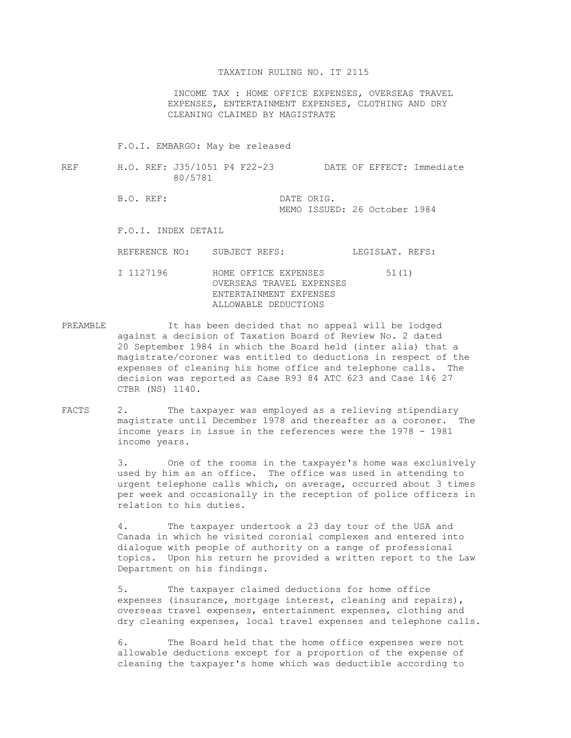## TAXATION RULING NO. IT 2115

 INCOME TAX : HOME OFFICE EXPENSES, OVERSEAS TRAVEL EXPENSES, ENTERTAINMENT EXPENSES, CLOTHING AND DRY CLEANING CLAIMED BY MAGISTRATE

## F.O.I. EMBARGO: May be released

- REF H.O. REF: J35/1051 P4 F22-23 DATE OF EFFECT: Immediate 80/5781
	- B.O. REF: DATE ORIG. MEMO ISSUED: 26 October 1984

## F.O.I. INDEX DETAIL

REFERENCE NO: SUBJECT REFS: LEGISLAT. REFS:

- I 1127196 HOME OFFICE EXPENSES 51(1) OVERSEAS TRAVEL EXPENSES ENTERTAINMENT EXPENSES ALLOWABLE DEDUCTIONS
- PREAMBLE It has been decided that no appeal will be lodged against a decision of Taxation Board of Review No. 2 dated 20 September 1984 in which the Board held (inter alia) that a magistrate/coroner was entitled to deductions in respect of the expenses of cleaning his home office and telephone calls. The decision was reported as Case R93 84 ATC 623 and Case 146 27 CTBR (NS) 1140.
- FACTS 2. The taxpayer was employed as a relieving stipendiary magistrate until December 1978 and thereafter as a coroner. The income years in issue in the references were the 1978 - 1981 income years.

 3. One of the rooms in the taxpayer's home was exclusively used by him as an office. The office was used in attending to urgent telephone calls which, on average, occurred about 3 times per week and occasionally in the reception of police officers in relation to his duties.

 4. The taxpayer undertook a 23 day tour of the USA and Canada in which he visited coronial complexes and entered into dialogue with people of authority on a range of professional topics. Upon his return he provided a written report to the Law Department on his findings.

 5. The taxpayer claimed deductions for home office expenses (insurance, mortgage interest, cleaning and repairs), overseas travel expenses, entertainment expenses, clothing and dry cleaning expenses, local travel expenses and telephone calls.

 6. The Board held that the home office expenses were not allowable deductions except for a proportion of the expense of cleaning the taxpayer's home which was deductible according to